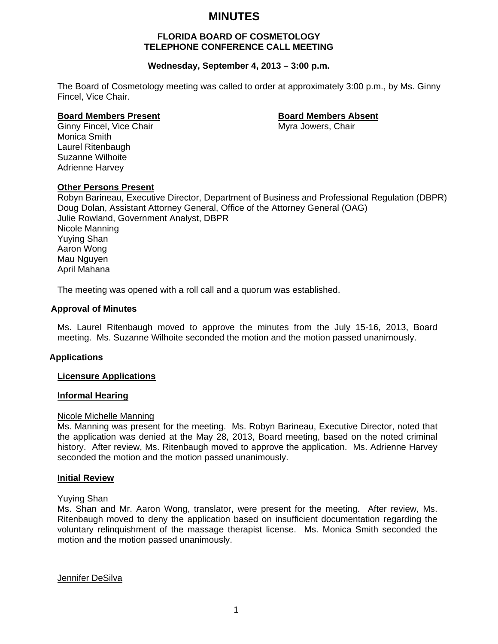# **MINUTES**

# **FLORIDA BOARD OF COSMETOLOGY TELEPHONE CONFERENCE CALL MEETING**

# **Wednesday, September 4, 2013 – 3:00 p.m.**

The Board of Cosmetology meeting was called to order at approximately 3:00 p.m., by Ms. Ginny Fincel, Vice Chair.

#### **Board Members Present Constraining Board Members Absent**

Ginny Fincel, Vice Chair Music Chair Myra Jowers, Chair Monica Smith Laurel Ritenbaugh Suzanne Wilhoite Adrienne Harvey

#### **Other Persons Present**

Robyn Barineau, Executive Director, Department of Business and Professional Regulation (DBPR) Doug Dolan, Assistant Attorney General, Office of the Attorney General (OAG) Julie Rowland, Government Analyst, DBPR Nicole Manning Yuying Shan Aaron Wong Mau Nguyen April Mahana

The meeting was opened with a roll call and a quorum was established.

#### **Approval of Minutes**

Ms. Laurel Ritenbaugh moved to approve the minutes from the July 15-16, 2013, Board meeting. Ms. Suzanne Wilhoite seconded the motion and the motion passed unanimously.

#### **Applications**

#### **Licensure Applications**

# **Informal Hearing**

#### Nicole Michelle Manning

Ms. Manning was present for the meeting. Ms. Robyn Barineau, Executive Director, noted that the application was denied at the May 28, 2013, Board meeting, based on the noted criminal history. After review, Ms. Ritenbaugh moved to approve the application. Ms. Adrienne Harvey seconded the motion and the motion passed unanimously.

#### **Initial Review**

#### Yuying Shan

Ms. Shan and Mr. Aaron Wong, translator, were present for the meeting. After review, Ms. Ritenbaugh moved to deny the application based on insufficient documentation regarding the voluntary relinquishment of the massage therapist license. Ms. Monica Smith seconded the motion and the motion passed unanimously.

Jennifer DeSilva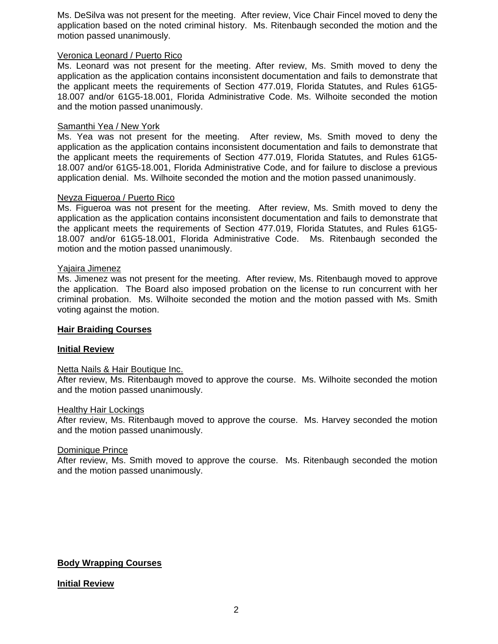Ms. DeSilva was not present for the meeting. After review, Vice Chair Fincel moved to deny the application based on the noted criminal history. Ms. Ritenbaugh seconded the motion and the motion passed unanimously.

### Veronica Leonard / Puerto Rico

Ms. Leonard was not present for the meeting. After review, Ms. Smith moved to deny the application as the application contains inconsistent documentation and fails to demonstrate that the applicant meets the requirements of Section 477.019, Florida Statutes, and Rules 61G5- 18.007 and/or 61G5-18.001, Florida Administrative Code. Ms. Wilhoite seconded the motion and the motion passed unanimously.

## Samanthi Yea / New York

Ms. Yea was not present for the meeting. After review, Ms. Smith moved to deny the application as the application contains inconsistent documentation and fails to demonstrate that the applicant meets the requirements of Section 477.019, Florida Statutes, and Rules 61G5- 18.007 and/or 61G5-18.001, Florida Administrative Code, and for failure to disclose a previous application denial. Ms. Wilhoite seconded the motion and the motion passed unanimously.

# Neyza Figueroa / Puerto Rico

Ms. Figueroa was not present for the meeting. After review, Ms. Smith moved to deny the application as the application contains inconsistent documentation and fails to demonstrate that the applicant meets the requirements of Section 477.019, Florida Statutes, and Rules 61G5- 18.007 and/or 61G5-18.001, Florida Administrative Code. Ms. Ritenbaugh seconded the motion and the motion passed unanimously.

#### Yajaira Jimenez

Ms. Jimenez was not present for the meeting. After review, Ms. Ritenbaugh moved to approve the application. The Board also imposed probation on the license to run concurrent with her criminal probation. Ms. Wilhoite seconded the motion and the motion passed with Ms. Smith voting against the motion.

### **Hair Braiding Courses**

### **Initial Review**

#### Netta Nails & Hair Boutique Inc.

After review, Ms. Ritenbaugh moved to approve the course. Ms. Wilhoite seconded the motion and the motion passed unanimously.

#### **Healthy Hair Lockings**

After review, Ms. Ritenbaugh moved to approve the course. Ms. Harvey seconded the motion and the motion passed unanimously.

#### Dominique Prince

After review, Ms. Smith moved to approve the course. Ms. Ritenbaugh seconded the motion and the motion passed unanimously.

# **Body Wrapping Courses**

**Initial Review**